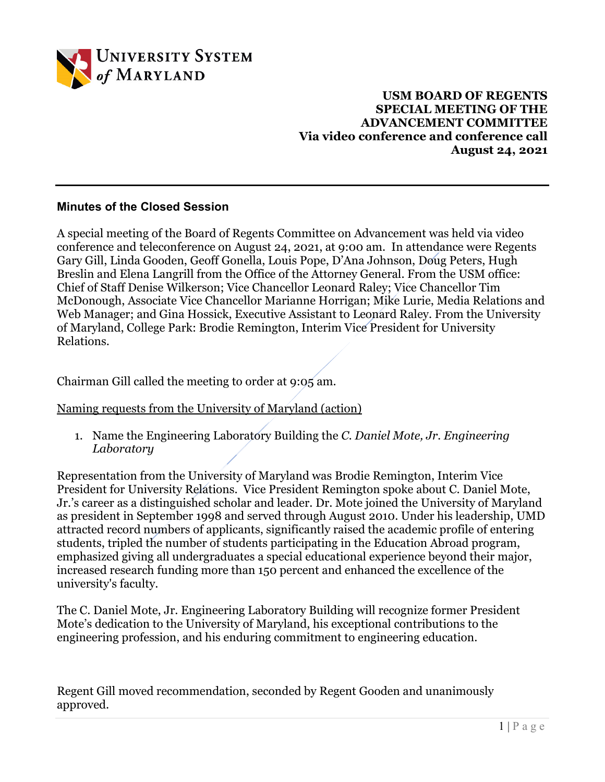

**USM BOARD OF REGENTS SPECIAL MEETING OF THE ADVANCEMENT COMMITTEE Via video conference and conference call August 24, 2021**

## **Minutes of the Closed Session**

A special meeting of the Board of Regents Committee on Advancement was held via video conference and teleconference on August 24, 2021, at 9:00 am. In attendance were Regents Gary Gill, Linda Gooden, Geoff Gonella, Louis Pope, D'Ana Johnson, Doug Peters, Hugh Breslin and Elena Langrill from the Office of the Attorney General. From the USM office: Chief of Staff Denise Wilkerson; Vice Chancellor Leonard Raley; Vice Chancellor Tim McDonough, Associate Vice Chancellor Marianne Horrigan; Mike Lurie, Media Relations and Web Manager; and Gina Hossick, Executive Assistant to Leonard Raley. From the University of Maryland, College Park: Brodie Remington, Interim Vice President for University Relations.

Chairman Gill called the meeting to order at 9:05 am.

Naming requests from the University of Maryland (action)

1. Name the Engineering Laboratory Building the *C. Daniel Mote, Jr. Engineering Laboratory*

Representation from the University of Maryland was Brodie Remington, Interim Vice President for University Relations. Vice President Remington spoke about C. Daniel Mote, Jr.'s career as a distinguished scholar and leader. Dr. Mote joined the University of Maryland as president in September 1998 and served through August 2010. Under his leadership, UMD attracted record numbers of applicants, significantly raised the academic profile of entering students, tripled the number of students participating in the Education Abroad program, emphasized giving all undergraduates a special educational experience beyond their major, increased research funding more than 150 percent and enhanced the excellence of the university's faculty.

The C. Daniel Mote, Jr. Engineering Laboratory Building will recognize former President Mote's dedication to the University of Maryland, his exceptional contributions to the engineering profession, and his enduring commitment to engineering education.

Regent Gill moved recommendation, seconded by Regent Gooden and unanimously approved.